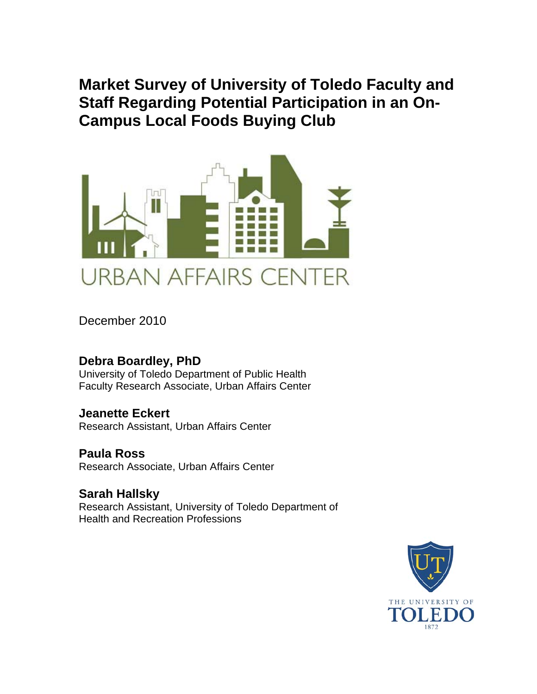**Market Survey of University of Toledo Faculty and Staff Regarding Potential Participation in an On-Campus Local Foods Buying Club** 



December 2010

# **Debra Boardley, PhD**

University of Toledo Department of Public Health Faculty Research Associate, Urban Affairs Center

# **Jeanette Eckert**

Research Assistant, Urban Affairs Center

# **Paula Ross**

Research Associate, Urban Affairs Center

## **Sarah Hallsky** Research Assistant, University of Toledo Department of Health and Recreation Professions

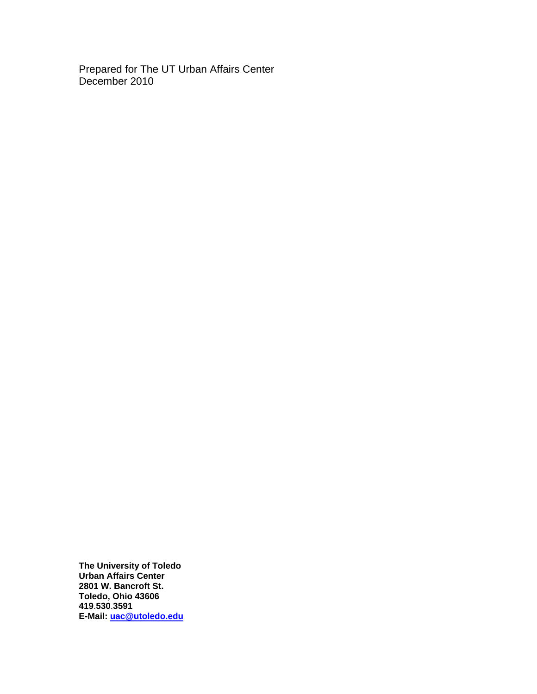Prepared for The UT Urban Affairs Center December 2010

**The University of Toledo Urban Affairs Center 2801 W. Bancroft St. Toledo, Ohio 43606 419**.**530**.**3591 E-Mail: [uac@utoledo.edu](mailto:uac@utoledo.edu)**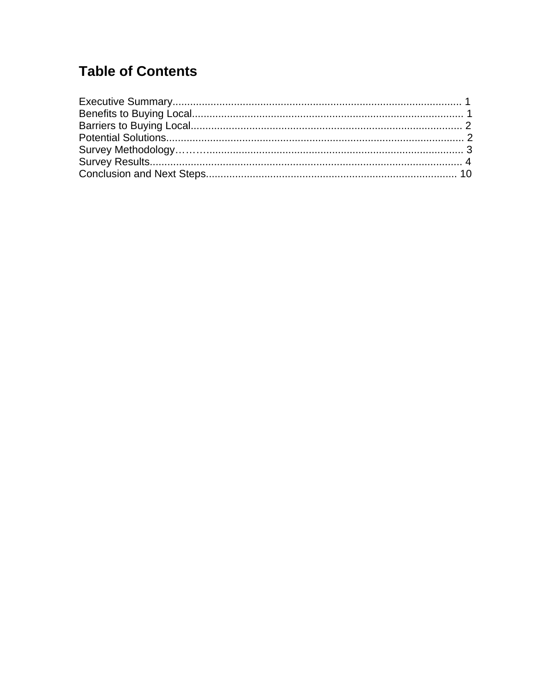# **Table of Contents**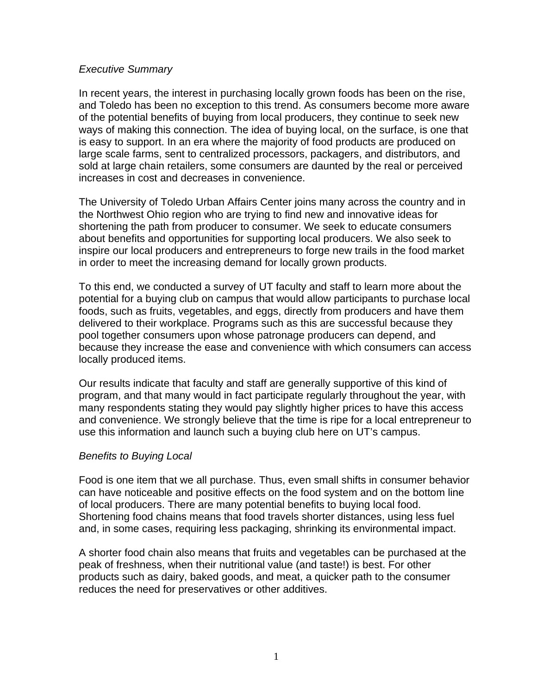## *Executive Summary*

In recent years, the interest in purchasing locally grown foods has been on the rise, and Toledo has been no exception to this trend. As consumers become more aware of the potential benefits of buying from local producers, they continue to seek new ways of making this connection. The idea of buying local, on the surface, is one that is easy to support. In an era where the majority of food products are produced on large scale farms, sent to centralized processors, packagers, and distributors, and sold at large chain retailers, some consumers are daunted by the real or perceived increases in cost and decreases in convenience.

The University of Toledo Urban Affairs Center joins many across the country and in the Northwest Ohio region who are trying to find new and innovative ideas for shortening the path from producer to consumer. We seek to educate consumers about benefits and opportunities for supporting local producers. We also seek to inspire our local producers and entrepreneurs to forge new trails in the food market in order to meet the increasing demand for locally grown products.

To this end, we conducted a survey of UT faculty and staff to learn more about the potential for a buying club on campus that would allow participants to purchase local foods, such as fruits, vegetables, and eggs, directly from producers and have them delivered to their workplace. Programs such as this are successful because they pool together consumers upon whose patronage producers can depend, and because they increase the ease and convenience with which consumers can access locally produced items.

Our results indicate that faculty and staff are generally supportive of this kind of program, and that many would in fact participate regularly throughout the year, with many respondents stating they would pay slightly higher prices to have this access and convenience. We strongly believe that the time is ripe for a local entrepreneur to use this information and launch such a buying club here on UT's campus.

## *Benefits to Buying Local*

Food is one item that we all purchase. Thus, even small shifts in consumer behavior can have noticeable and positive effects on the food system and on the bottom line of local producers. There are many potential benefits to buying local food. Shortening food chains means that food travels shorter distances, using less fuel and, in some cases, requiring less packaging, shrinking its environmental impact.

A shorter food chain also means that fruits and vegetables can be purchased at the peak of freshness, when their nutritional value (and taste!) is best. For other products such as dairy, baked goods, and meat, a quicker path to the consumer reduces the need for preservatives or other additives.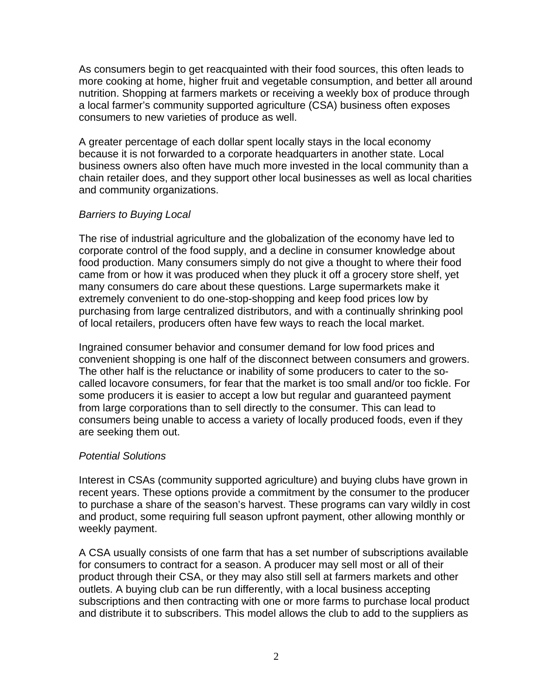As consumers begin to get reacquainted with their food sources, this often leads to more cooking at home, higher fruit and vegetable consumption, and better all around nutrition. Shopping at farmers markets or receiving a weekly box of produce through a local farmer's community supported agriculture (CSA) business often exposes consumers to new varieties of produce as well.

A greater percentage of each dollar spent locally stays in the local economy because it is not forwarded to a corporate headquarters in another state. Local business owners also often have much more invested in the local community than a chain retailer does, and they support other local businesses as well as local charities and community organizations.

## *Barriers to Buying Local*

The rise of industrial agriculture and the globalization of the economy have led to corporate control of the food supply, and a decline in consumer knowledge about food production. Many consumers simply do not give a thought to where their food came from or how it was produced when they pluck it off a grocery store shelf, yet many consumers do care about these questions. Large supermarkets make it extremely convenient to do one-stop-shopping and keep food prices low by purchasing from large centralized distributors, and with a continually shrinking pool of local retailers, producers often have few ways to reach the local market.

Ingrained consumer behavior and consumer demand for low food prices and convenient shopping is one half of the disconnect between consumers and growers. The other half is the reluctance or inability of some producers to cater to the socalled locavore consumers, for fear that the market is too small and/or too fickle. For some producers it is easier to accept a low but regular and guaranteed payment from large corporations than to sell directly to the consumer. This can lead to consumers being unable to access a variety of locally produced foods, even if they are seeking them out.

## *Potential Solutions*

Interest in CSAs (community supported agriculture) and buying clubs have grown in recent years. These options provide a commitment by the consumer to the producer to purchase a share of the season's harvest. These programs can vary wildly in cost and product, some requiring full season upfront payment, other allowing monthly or weekly payment.

A CSA usually consists of one farm that has a set number of subscriptions available for consumers to contract for a season. A producer may sell most or all of their product through their CSA, or they may also still sell at farmers markets and other outlets. A buying club can be run differently, with a local business accepting subscriptions and then contracting with one or more farms to purchase local product and distribute it to subscribers. This model allows the club to add to the suppliers as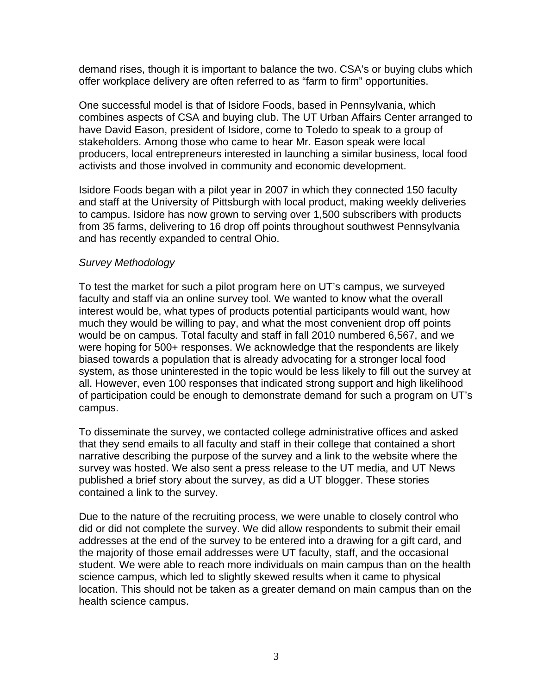demand rises, though it is important to balance the two. CSA's or buying clubs which offer workplace delivery are often referred to as "farm to firm" opportunities.

One successful model is that of Isidore Foods, based in Pennsylvania, which combines aspects of CSA and buying club. The UT Urban Affairs Center arranged to have David Eason, president of Isidore, come to Toledo to speak to a group of stakeholders. Among those who came to hear Mr. Eason speak were local producers, local entrepreneurs interested in launching a similar business, local food activists and those involved in community and economic development.

Isidore Foods began with a pilot year in 2007 in which they connected 150 faculty and staff at the University of Pittsburgh with local product, making weekly deliveries to campus. Isidore has now grown to serving over 1,500 subscribers with products from 35 farms, delivering to 16 drop off points throughout southwest Pennsylvania and has recently expanded to central Ohio.

## *Survey Methodology*

To test the market for such a pilot program here on UT's campus, we surveyed faculty and staff via an online survey tool. We wanted to know what the overall interest would be, what types of products potential participants would want, how much they would be willing to pay, and what the most convenient drop off points would be on campus. Total faculty and staff in fall 2010 numbered 6,567, and we were hoping for 500+ responses. We acknowledge that the respondents are likely biased towards a population that is already advocating for a stronger local food system, as those uninterested in the topic would be less likely to fill out the survey at all. However, even 100 responses that indicated strong support and high likelihood of participation could be enough to demonstrate demand for such a program on UT's campus.

To disseminate the survey, we contacted college administrative offices and asked that they send emails to all faculty and staff in their college that contained a short narrative describing the purpose of the survey and a link to the website where the survey was hosted. We also sent a press release to the UT media, and UT News published a brief story about the survey, as did a UT blogger. These stories contained a link to the survey.

Due to the nature of the recruiting process, we were unable to closely control who did or did not complete the survey. We did allow respondents to submit their email addresses at the end of the survey to be entered into a drawing for a gift card, and the majority of those email addresses were UT faculty, staff, and the occasional student. We were able to reach more individuals on main campus than on the health science campus, which led to slightly skewed results when it came to physical location. This should not be taken as a greater demand on main campus than on the health science campus.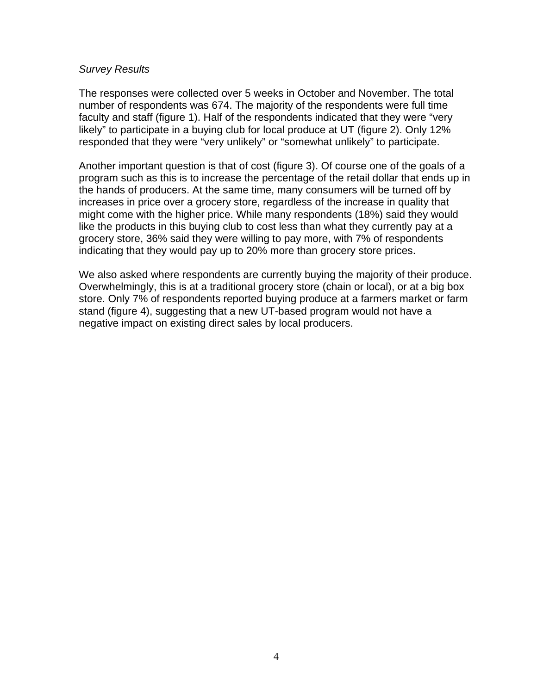### *Survey Results*

The responses were collected over 5 weeks in October and November. The total number of respondents was 674. The majority of the respondents were full time faculty and staff (figure 1). Half of the respondents indicated that they were "very likely" to participate in a buying club for local produce at UT (figure 2). Only 12% responded that they were "very unlikely" or "somewhat unlikely" to participate.

Another important question is that of cost (figure 3). Of course one of the goals of a program such as this is to increase the percentage of the retail dollar that ends up in the hands of producers. At the same time, many consumers will be turned off by increases in price over a grocery store, regardless of the increase in quality that might come with the higher price. While many respondents (18%) said they would like the products in this buying club to cost less than what they currently pay at a grocery store, 36% said they were willing to pay more, with 7% of respondents indicating that they would pay up to 20% more than grocery store prices.

We also asked where respondents are currently buying the majority of their produce. Overwhelmingly, this is at a traditional grocery store (chain or local), or at a big box store. Only 7% of respondents reported buying produce at a farmers market or farm stand (figure 4), suggesting that a new UT-based program would not have a negative impact on existing direct sales by local producers.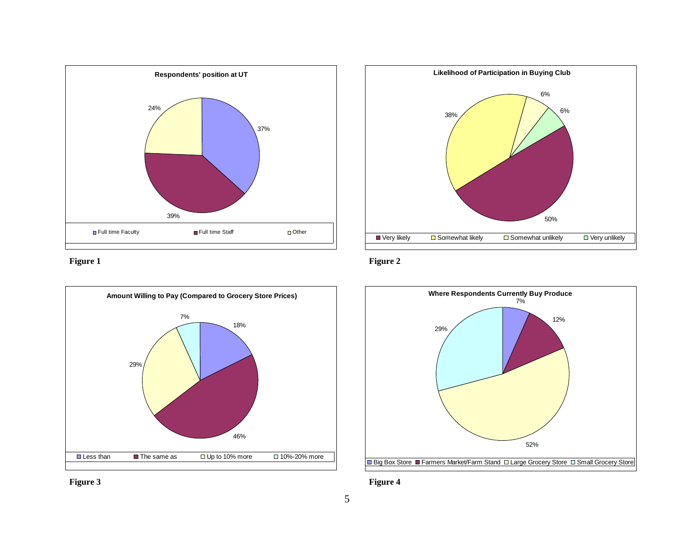

**Figure 1** 





**Figure 2** 



**Figure 4** 

**Figure 3**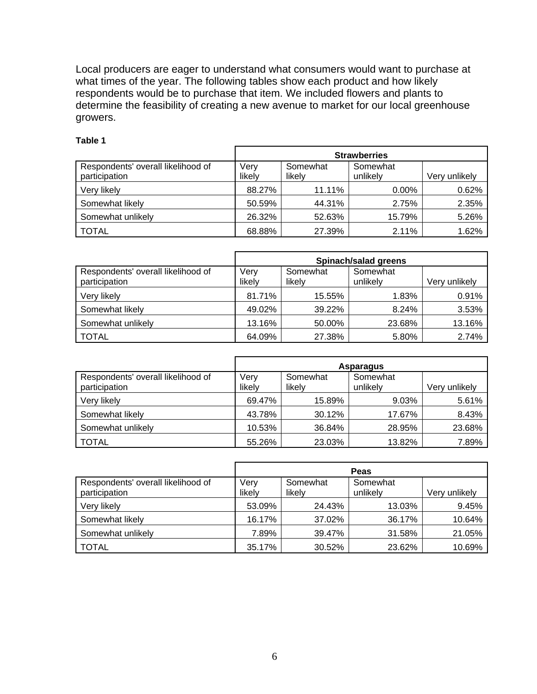Local producers are eager to understand what consumers would want to purchase at what times of the year. The following tables show each product and how likely respondents would be to purchase that item. We included flowers and plants to determine the feasibility of creating a new avenue to market for our local greenhouse growers.

|                                                     |                |                    | <b>Strawberries</b>  |               |
|-----------------------------------------------------|----------------|--------------------|----------------------|---------------|
| Respondents' overall likelihood of<br>participation | Very<br>likely | Somewhat<br>likely | Somewhat<br>unlikely | Very unlikely |
| Very likely                                         | 88.27%         | 11.11%             | $0.00\%$             | 0.62%         |
| Somewhat likely                                     | 50.59%         | 44.31%             | 2.75%                | 2.35%         |
| Somewhat unlikely                                   | 26.32%         | 52.63%             | 15.79%               | 5.26%         |
| <b>TOTAL</b>                                        | 68.88%         | 27.39%             | 2.11%                | 1.62%         |

### **Table 1**

|                                                     | Spinach/salad greens |                    |                      |               |
|-----------------------------------------------------|----------------------|--------------------|----------------------|---------------|
| Respondents' overall likelihood of<br>participation | Very<br>likely       | Somewhat<br>likelv | Somewhat<br>unlikely | Very unlikely |
| Very likely                                         | 81.71%               | 15.55%             | 1.83%                | 0.91%         |
| Somewhat likely                                     | 49.02%               | 39.22%             | 8.24%                | 3.53%         |
| Somewhat unlikely                                   | 13.16%               | 50.00%             | 23.68%               | 13.16%        |
| <b>TOTAL</b>                                        | 64.09%               | 27.38%             | 5.80%                | 2.74%         |

|                                                     |                |          | <b>Asparagus</b>     |               |
|-----------------------------------------------------|----------------|----------|----------------------|---------------|
| Respondents' overall likelihood of<br>participation | Very<br>likely | Somewhat | Somewhat<br>unlikely | Very unlikely |
|                                                     |                | likely   |                      |               |
| Very likely                                         | 69.47%         | 15.89%   | 9.03%                | 5.61%         |
| Somewhat likely                                     | 43.78%         | 30.12%   | 17.67%               | 8.43%         |
| Somewhat unlikely                                   | 10.53%         | 36.84%   | 28.95%               | 23.68%        |
| <b>TOTAL</b>                                        | 55.26%         | 23.03%   | 13.82%               | 7.89%         |

|                                                     |                |                    | Peas                 |               |
|-----------------------------------------------------|----------------|--------------------|----------------------|---------------|
| Respondents' overall likelihood of<br>participation | Very<br>likely | Somewhat<br>likely | Somewhat<br>unlikely | Very unlikely |
| Very likely                                         | 53.09%         | 24.43%             | 13.03%               | 9.45%         |
| Somewhat likely                                     | 16.17%         | 37.02%             | 36.17%               | 10.64%        |
| Somewhat unlikely                                   | 7.89%          | 39.47%             | 31.58%               | 21.05%        |
| <b>TOTAL</b>                                        | 35.17%         | 30.52%             | 23.62%               | 10.69%        |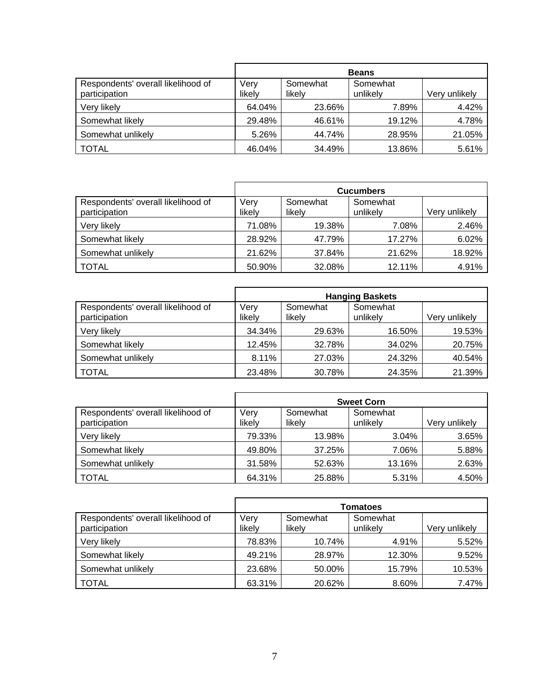|                                                     |                |                    | <b>Beans</b>         |               |
|-----------------------------------------------------|----------------|--------------------|----------------------|---------------|
| Respondents' overall likelihood of<br>participation | Very<br>likely | Somewhat<br>likelv | Somewhat<br>unlikely | Very unlikely |
| Very likely                                         | 64.04%         | 23.66%             | 7.89%                | 4.42%         |
| Somewhat likely                                     | 29.48%         | 46.61%             | 19.12%               | 4.78%         |
| Somewhat unlikely                                   | 5.26%          | 44.74%             | 28.95%               | 21.05%        |
| <b>TOTAL</b>                                        | 46.04%         | 34.49%             | 13.86%               | 5.61%         |

|                                                     |                |                    | <b>Cucumbers</b>     |               |
|-----------------------------------------------------|----------------|--------------------|----------------------|---------------|
| Respondents' overall likelihood of<br>participation | Very<br>likely | Somewhat<br>likely | Somewhat<br>unlikely | Very unlikely |
| Very likely                                         | 71.08%         | 19.38%             | 7.08%                | 2.46%         |
| Somewhat likely                                     | 28.92%         | 47.79%             | 17.27%               | 6.02%         |
| Somewhat unlikely                                   | 21.62%         | 37.84%             | 21.62%               | 18.92%        |
| <b>TOTAL</b>                                        | 50.90%         | 32.08%             | 12.11%               | 4.91%         |

|                                                     | <b>Hanging Baskets</b> |                    |                      |               |
|-----------------------------------------------------|------------------------|--------------------|----------------------|---------------|
| Respondents' overall likelihood of<br>participation | Very<br>likely         | Somewhat<br>likely | Somewhat<br>unlikely | Very unlikely |
| Very likely                                         | 34.34%                 | 29.63%             | 16.50%               | 19.53%        |
| Somewhat likely                                     | 12.45%                 | 32.78%             | 34.02%               | 20.75%        |
| Somewhat unlikely                                   | 8.11%                  | 27.03%             | 24.32%               | 40.54%        |
| <b>TOTAL</b>                                        | 23.48%                 | 30.78%             | 24.35%               | 21.39%        |

|                                                     |                |                    | <b>Sweet Corn</b>    |               |
|-----------------------------------------------------|----------------|--------------------|----------------------|---------------|
| Respondents' overall likelihood of<br>participation | Very<br>likely | Somewhat<br>likely | Somewhat<br>unlikely | Very unlikely |
| Very likely                                         | 79.33%         | 13.98%             | 3.04%                | 3.65%         |
| Somewhat likely                                     | 49.80%         | 37.25%             | 7.06%                | 5.88%         |
| Somewhat unlikely                                   | 31.58%         | 52.63%             | 13.16%               | 2.63%         |
| <b>TOTAL</b>                                        | 64.31%         | 25.88%             | 5.31%                | 4.50%         |

|                                                     | <b>Tomatoes</b> |                    |                      |               |
|-----------------------------------------------------|-----------------|--------------------|----------------------|---------------|
| Respondents' overall likelihood of<br>participation | Verv<br>likely  | Somewhat<br>likelv | Somewhat<br>unlikely | Very unlikely |
| Very likely                                         | 78.83%          | 10.74%             | 4.91%                | 5.52%         |
| Somewhat likely                                     | 49.21%          | 28.97%             | 12.30%               | 9.52%         |
| Somewhat unlikely                                   | 23.68%          | 50.00%             | 15.79%               | 10.53%        |
| <b>TOTAL</b>                                        | 63.31%          | 20.62%             | 8.60%                | 7.47%         |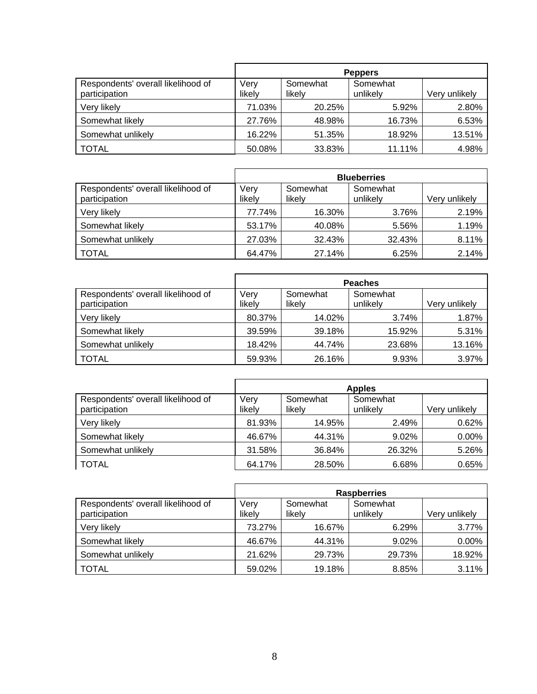|                                                     | <b>Peppers</b> |                    |                      |               |
|-----------------------------------------------------|----------------|--------------------|----------------------|---------------|
| Respondents' overall likelihood of<br>participation | Very<br>likely | Somewhat<br>likely | Somewhat<br>unlikely | Very unlikely |
| Very likely                                         | 71.03%         | 20.25%             | 5.92%                | 2.80%         |
| Somewhat likely                                     | 27.76%         | 48.98%             | 16.73%               | 6.53%         |
| Somewhat unlikely                                   | 16.22%         | 51.35%             | 18.92%               | 13.51%        |
| <b>TOTAL</b>                                        | 50.08%         | 33.83%             | 11.11%               | 4.98%         |

|                                                     |                |                    | <b>Blueberries</b>   |               |
|-----------------------------------------------------|----------------|--------------------|----------------------|---------------|
| Respondents' overall likelihood of<br>participation | Very<br>likely | Somewhat<br>likely | Somewhat<br>unlikely | Very unlikely |
| Very likely                                         | 77.74%         | 16.30%             | 3.76%                | 2.19%         |
| Somewhat likely                                     | 53.17%         | 40.08%             | 5.56%                | 1.19%         |
| Somewhat unlikely                                   | 27.03%         | 32.43%             | 32.43%               | 8.11%         |
| <b>TOTAL</b>                                        | 64.47%         | 27.14%             | 6.25%                | 2.14%         |

|                                                     | <b>Peaches</b> |                    |                      |               |
|-----------------------------------------------------|----------------|--------------------|----------------------|---------------|
| Respondents' overall likelihood of<br>participation | Very<br>likely | Somewhat<br>likely | Somewhat<br>unlikely | Very unlikely |
| Very likely                                         | 80.37%         | 14.02%             | 3.74%                | 1.87%         |
| Somewhat likely                                     | 39.59%         | 39.18%             | 15.92%               | 5.31%         |
| Somewhat unlikely                                   | 18.42%         | 44.74%             | 23.68%               | 13.16%        |
| <b>TOTAL</b>                                        | 59.93%         | 26.16%             | 9.93%                | 3.97%         |

|                                                     | <b>Apples</b>  |                    |                      |               |
|-----------------------------------------------------|----------------|--------------------|----------------------|---------------|
| Respondents' overall likelihood of<br>participation | Very<br>likely | Somewhat<br>likelv | Somewhat<br>unlikelv | Verv unlikelv |
| Verv likelv                                         | 81.93%         | 14.95%             | 2.49%                | 0.62%         |
| Somewhat likely                                     | 46.67%         | 44.31%             | 9.02%                | 0.00%         |
| Somewhat unlikely                                   | 31.58%         | 36.84%             | 26.32%               | 5.26%         |
| <b>TOTAL</b>                                        | 64.17%         | 28.50%             | 6.68%                | 0.65%         |

|                                                     | <b>Raspberries</b> |                    |                      |               |
|-----------------------------------------------------|--------------------|--------------------|----------------------|---------------|
| Respondents' overall likelihood of<br>participation | Verv<br>likely     | Somewhat<br>likelv | Somewhat<br>unlikely | Very unlikely |
| Very likely                                         | 73.27%             | 16.67%             | 6.29%                | 3.77%         |
| Somewhat likely                                     | 46.67%             | 44.31%             | 9.02%                | 0.00%         |
| Somewhat unlikely                                   | 21.62%             | 29.73%             | 29.73%               | 18.92%        |
| <b>TOTAL</b>                                        | 59.02%             | 19.18%             | 8.85%                | 3.11%         |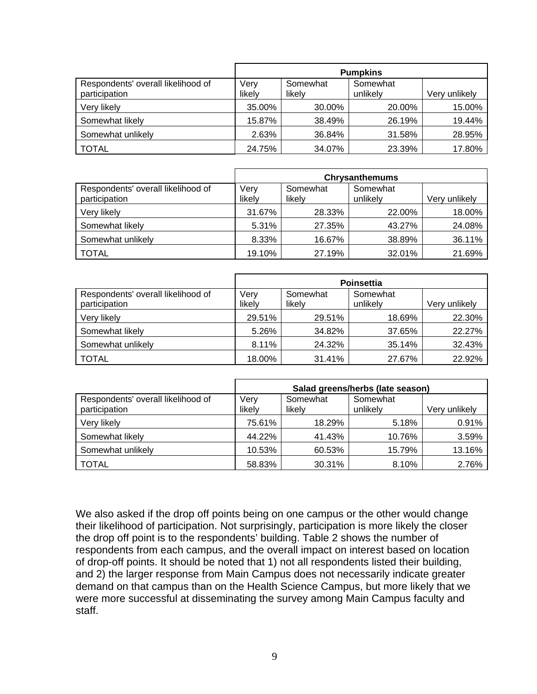|                                                     | <b>Pumpkins</b> |                    |                      |               |
|-----------------------------------------------------|-----------------|--------------------|----------------------|---------------|
| Respondents' overall likelihood of<br>participation | Very<br>likely  | Somewhat<br>likelv | Somewhat<br>unlikely | Very unlikely |
| Very likely                                         | 35.00%          | 30.00%             | 20.00%               | 15.00%        |
| Somewhat likely                                     | 15.87%          | 38.49%             | 26.19%               | 19.44%        |
| Somewhat unlikely                                   | 2.63%           | 36.84%             | 31.58%               | 28.95%        |
| <b>TOTAL</b>                                        | 24.75%          | 34.07%             | 23.39%               | 17.80%        |

|                                                     | <b>Chrysanthemums</b> |                    |                      |               |
|-----------------------------------------------------|-----------------------|--------------------|----------------------|---------------|
| Respondents' overall likelihood of<br>participation | Very<br>likely        | Somewhat<br>likely | Somewhat<br>unlikely | Very unlikely |
| Very likely                                         | 31.67%                | 28.33%             | 22.00%               | 18.00%        |
| Somewhat likely                                     | 5.31%                 | 27.35%             | 43.27%               | 24.08%        |
| Somewhat unlikely                                   | 8.33%                 | 16.67%             | 38.89%               | 36.11%        |
| <b>TOTAL</b>                                        | 19.10%                | 27.19%             | 32.01%               | 21.69%        |

|                                                     | <b>Poinsettia</b> |                    |                      |               |
|-----------------------------------------------------|-------------------|--------------------|----------------------|---------------|
| Respondents' overall likelihood of<br>participation | Very<br>likely    | Somewhat<br>likely | Somewhat<br>unlikely | Very unlikely |
| Very likely                                         | 29.51%            | 29.51%             | 18.69%               | 22.30%        |
| Somewhat likely                                     | 5.26%             | 34.82%             | 37.65%               | 22.27%        |
| Somewhat unlikely                                   | 8.11%             | 24.32%             | 35.14%               | 32.43%        |
| <b>TOTAL</b>                                        | 18.00%            | 31.41%             | 27.67%               | 22.92%        |

|                                                     | Salad greens/herbs (late season) |                    |                      |               |
|-----------------------------------------------------|----------------------------------|--------------------|----------------------|---------------|
| Respondents' overall likelihood of<br>participation | Verv<br>likely                   | Somewhat<br>likely | Somewhat<br>unlikelv | Very unlikely |
| Very likely                                         | 75.61%                           | 18.29%             | 5.18%                | 0.91%         |
| Somewhat likely                                     | 44.22%                           | 41.43%             | 10.76%               | 3.59%         |
| Somewhat unlikely                                   | 10.53%                           | 60.53%             | 15.79%               | 13.16%        |
| <b>TOTAL</b>                                        | 58.83%                           | 30.31%             | 8.10%                | 2.76%         |

We also asked if the drop off points being on one campus or the other would change their likelihood of participation. Not surprisingly, participation is more likely the closer the drop off point is to the respondents' building. Table 2 shows the number of respondents from each campus, and the overall impact on interest based on location of drop-off points. It should be noted that 1) not all respondents listed their building, and 2) the larger response from Main Campus does not necessarily indicate greater demand on that campus than on the Health Science Campus, but more likely that we were more successful at disseminating the survey among Main Campus faculty and staff.